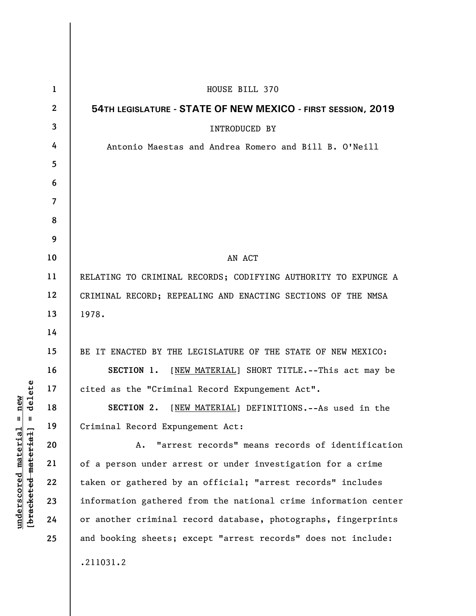| $\mathbf{1}$   | HOUSE BILL 370                                                  |
|----------------|-----------------------------------------------------------------|
| $\mathbf{2}$   | 54TH LEGISLATURE - STATE OF NEW MEXICO - FIRST SESSION, 2019    |
| 3              | <b>INTRODUCED BY</b>                                            |
| 4              | Antonio Maestas and Andrea Romero and Bill B. O'Neill           |
| 5              |                                                                 |
| 6              |                                                                 |
| $\overline{7}$ |                                                                 |
| 8              |                                                                 |
| 9              |                                                                 |
| 10             | AN ACT                                                          |
| 11             | RELATING TO CRIMINAL RECORDS; CODIFYING AUTHORITY TO EXPUNGE A  |
| 12             | CRIMINAL RECORD; REPEALING AND ENACTING SECTIONS OF THE NMSA    |
| 13             | 1978.                                                           |
| 14             |                                                                 |
| 15             | BE IT ENACTED BY THE LEGISLATURE OF THE STATE OF NEW MEXICO:    |
| 16             | SECTION 1. [NEW MATERIAL] SHORT TITLE.--This act may be         |
| 17             | cited as the "Criminal Record Expungement Act".                 |
| 18             | [NEW MATERIAL] DEFINITIONS. -- As used in the<br>SECTION 2.     |
| 19             | Criminal Record Expungement Act:                                |
| 20             | "arrest records" means records of identification<br>A.          |
| 21             | of a person under arrest or under investigation for a crime     |
| 22             | taken or gathered by an official; "arrest records" includes     |
| 23             | information gathered from the national crime information center |
| 24             | or another criminal record database, photographs, fingerprints  |
| 25             | and booking sheets; except "arrest records" does not include:   |
|                | .211031.2                                                       |

 $[**bracket eted metert et**] = **del et e**$ **[bracketed material] = delete**  $underscored material = new$ **underscored material = new**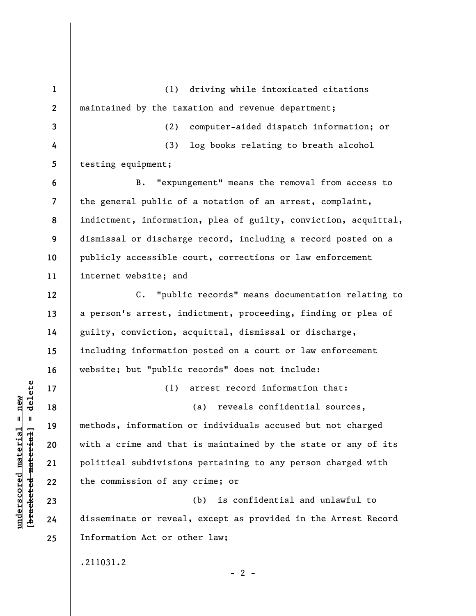**1 2 3 4 5 6 7 8 9 10 11 12 13 14 15 16 17 18 19 20 21 22 23 24 25**  (1) driving while intoxicated citations maintained by the taxation and revenue department; (2) computer-aided dispatch information; or (3) log books relating to breath alcohol testing equipment; B. "expungement" means the removal from access to the general public of a notation of an arrest, complaint, indictment, information, plea of guilty, conviction, acquittal, dismissal or discharge record, including a record posted on a publicly accessible court, corrections or law enforcement internet website; and C. "public records" means documentation relating to a person's arrest, indictment, proceeding, finding or plea of guilty, conviction, acquittal, dismissal or discharge, including information posted on a court or law enforcement website; but "public records" does not include: (1) arrest record information that: (a) reveals confidential sources, methods, information or individuals accused but not charged with a crime and that is maintained by the state or any of its political subdivisions pertaining to any person charged with the commission of any crime; or (b) is confidential and unlawful to disseminate or reveal, except as provided in the Arrest Record Information Act or other law; .211031.2  $- 2 -$ 

**underscored material = new [bracketed material] = delete**

 $\frac{1}{2}$  intereted material = delete  $underscored material = new$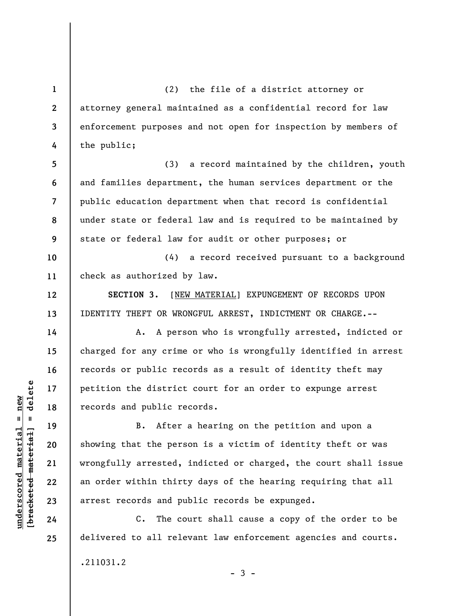(2) the file of a district attorney or attorney general maintained as a confidential record for law enforcement purposes and not open for inspection by members of the public;

**5 6 7 8 9**  (3) a record maintained by the children, youth and families department, the human services department or the public education department when that record is confidential under state or federal law and is required to be maintained by state or federal law for audit or other purposes; or

**10 11**  (4) a record received pursuant to a background check as authorized by law.

**SECTION 3.** [NEW MATERIAL] EXPUNGEMENT OF RECORDS UPON IDENTITY THEFT OR WRONGFUL ARREST, INDICTMENT OR CHARGE.--

A. A person who is wrongfully arrested, indicted or charged for any crime or who is wrongfully identified in arrest records or public records as a result of identity theft may petition the district court for an order to expunge arrest records and public records.

B. After a hearing on the petition and upon a showing that the person is a victim of identity theft or was wrongfully arrested, indicted or charged, the court shall issue an order within thirty days of the hearing requiring that all arrest records and public records be expunged.

C. The court shall cause a copy of the order to be delivered to all relevant law enforcement agencies and courts.

 $-3 -$ 

.211031.2

 $\frac{1}{2}$  intereted material = delete **[bracketed material] = delete**  $underscored material = new$ **underscored material = new**

**1** 

**2** 

**3** 

**4** 

**12** 

**13** 

**14** 

**15** 

**16** 

**17** 

**18** 

**19** 

**20** 

**21** 

**22** 

**23** 

**24** 

**25**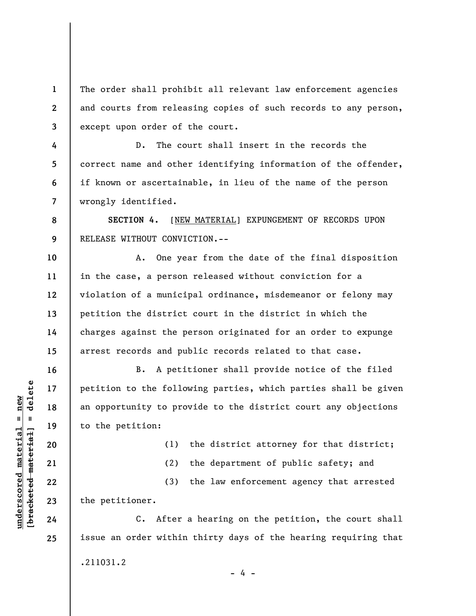**3**  The order shall prohibit all relevant law enforcement agencies and courts from releasing copies of such records to any person, except upon order of the court.

D. The court shall insert in the records the correct name and other identifying information of the offender, if known or ascertainable, in lieu of the name of the person wrongly identified.

**SECTION 4.** [NEW MATERIAL] EXPUNGEMENT OF RECORDS UPON RELEASE WITHOUT CONVICTION.--

**10 11 12 13 14 15**  A. One year from the date of the final disposition in the case, a person released without conviction for a violation of a municipal ordinance, misdemeanor or felony may petition the district court in the district in which the charges against the person originated for an order to expunge arrest records and public records related to that case.

B. A petitioner shall provide notice of the filed petition to the following parties, which parties shall be given an opportunity to provide to the district court any objections to the petition:

(1) the district attorney for that district;

(2) the department of public safety; and

(3) the law enforcement agency that arrested the petitioner.

C. After a hearing on the petition, the court shall issue an order within thirty days of the hearing requiring that .211031.2 - 4 -

 $\frac{1}{2}$  intereted material = delete **[bracketed material] = delete**  $underscored material = new$ **underscored material = new**

**1** 

**2** 

**4** 

**5** 

**6** 

**7** 

**8** 

**9** 

**16** 

**17** 

**18** 

**19** 

**20** 

**21** 

**22** 

**23** 

**24** 

**25**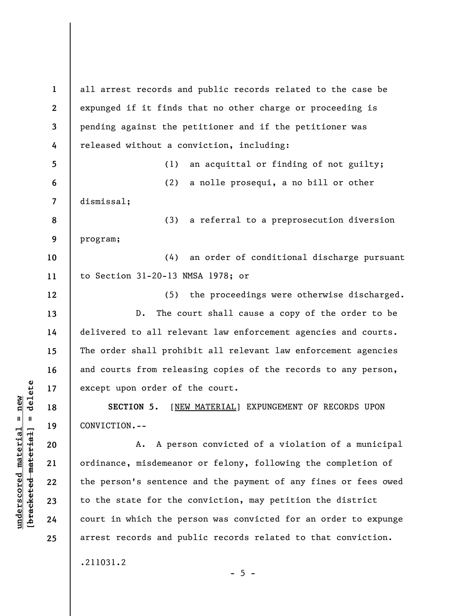**1 2 3 4 5 6 7 8 9 10 11 12 13 14 15 16 17 18 19 20 21 22 23 24 25**  all arrest records and public records related to the case be expunged if it finds that no other charge or proceeding is pending against the petitioner and if the petitioner was released without a conviction, including: (1) an acquittal or finding of not guilty; (2) a nolle prosequi, a no bill or other dismissal; (3) a referral to a preprosecution diversion program; (4) an order of conditional discharge pursuant to Section 31-20-13 NMSA 1978; or (5) the proceedings were otherwise discharged. D. The court shall cause a copy of the order to be delivered to all relevant law enforcement agencies and courts. The order shall prohibit all relevant law enforcement agencies and courts from releasing copies of the records to any person, except upon order of the court. **SECTION 5.** [NEW MATERIAL] EXPUNGEMENT OF RECORDS UPON CONVICTION.-- A. A person convicted of a violation of a municipal ordinance, misdemeanor or felony, following the completion of the person's sentence and the payment of any fines or fees owed to the state for the conviction, may petition the district court in which the person was convicted for an order to expunge arrest records and public records related to that conviction.

.211031.2

 $\frac{1}{2}$  of  $\frac{1}{2}$  and  $\frac{1}{2}$  and  $\frac{1}{2}$  and  $\frac{1}{2}$  and  $\frac{1}{2}$  and  $\frac{1}{2}$  and  $\frac{1}{2}$  and  $\frac{1}{2}$  and  $\frac{1}{2}$  and  $\frac{1}{2}$  and  $\frac{1}{2}$  and  $\frac{1}{2}$  and  $\frac{1}{2}$  and  $\frac{1}{2}$  and  $\frac{1}{2}$  an **[bracketed material] = delete**  $underscored material = new$ **underscored material = new**

 $- 5 -$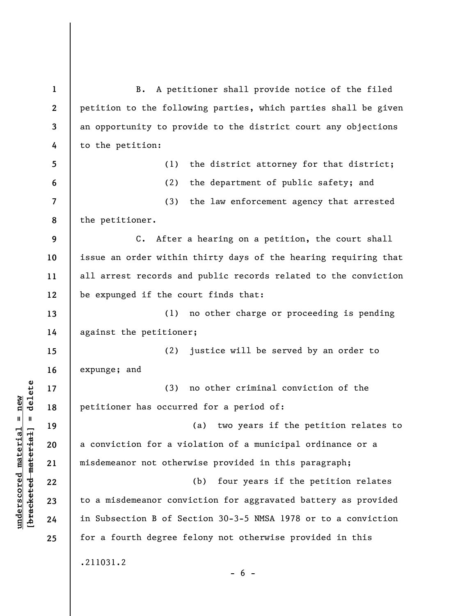**1 2 3 4 5 6 7 8 9 10 11 12 13 14 15 16 17 18 19 20 21 22 23 24 25**  B. A petitioner shall provide notice of the filed petition to the following parties, which parties shall be given an opportunity to provide to the district court any objections to the petition: (1) the district attorney for that district; (2) the department of public safety; and (3) the law enforcement agency that arrested the petitioner. C. After a hearing on a petition, the court shall issue an order within thirty days of the hearing requiring that all arrest records and public records related to the conviction be expunged if the court finds that: (1) no other charge or proceeding is pending against the petitioner; (2) justice will be served by an order to expunge; and (3) no other criminal conviction of the petitioner has occurred for a period of: (a) two years if the petition relates to a conviction for a violation of a municipal ordinance or a misdemeanor not otherwise provided in this paragraph; (b) four years if the petition relates to a misdemeanor conviction for aggravated battery as provided in Subsection B of Section 30-3-5 NMSA 1978 or to a conviction for a fourth degree felony not otherwise provided in this .211031.2  $- 6 -$ 

**underscored material = new [bracketed material] = delete**

 $\frac{1}{2}$  bracketed material] = delete  $underscored material = new$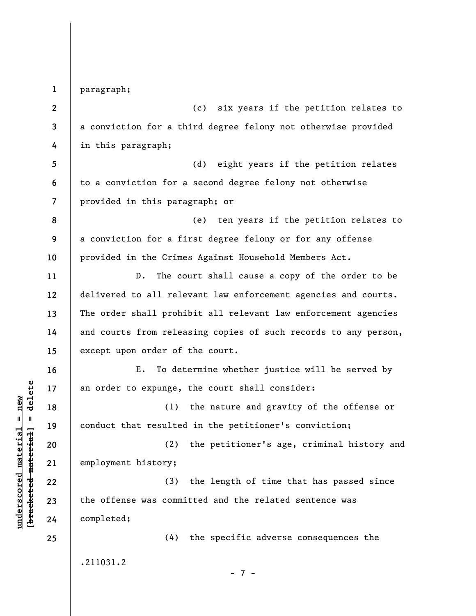**1 2 3 4 5 6 7 8 9 10 11 12 13 14 15 16 17 18 19 20 21 22 23 24 25**  paragraph; (c) six years if the petition relates to a conviction for a third degree felony not otherwise provided in this paragraph; (d) eight years if the petition relates to a conviction for a second degree felony not otherwise provided in this paragraph; or (e) ten years if the petition relates to a conviction for a first degree felony or for any offense provided in the Crimes Against Household Members Act. D. The court shall cause a copy of the order to be delivered to all relevant law enforcement agencies and courts. The order shall prohibit all relevant law enforcement agencies and courts from releasing copies of such records to any person, except upon order of the court. E. To determine whether justice will be served by an order to expunge, the court shall consider: (1) the nature and gravity of the offense or conduct that resulted in the petitioner's conviction; (2) the petitioner's age, criminal history and employment history; (3) the length of time that has passed since the offense was committed and the related sentence was completed; (4) the specific adverse consequences the .211031.2 - 7 -

**underscored material = new [bracketed material] = delete**

 $\frac{1}{2}$  intereted material = delete  $underscored material = new$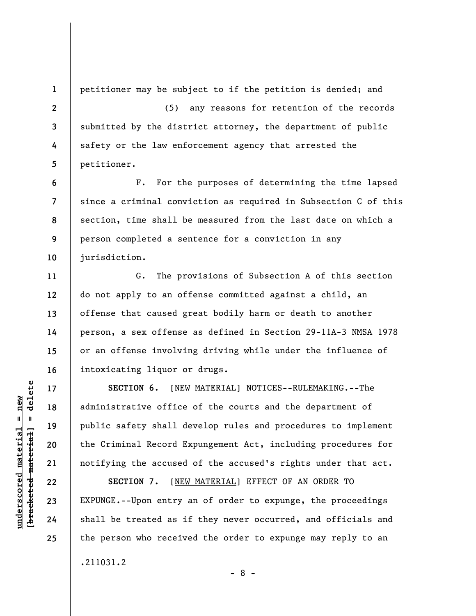**1** 

**6** 

**7** 

**8** 

**9** 

**10** 

**11** 

**12** 

**13** 

**14** 

**15** 

**16** 

**17** 

**18** 

**19** 

**20** 

**21** 

**22** 

**23** 

**24** 

**25** 

petitioner may be subject to if the petition is denied; and

**2 3 4 5**  (5) any reasons for retention of the records submitted by the district attorney, the department of public safety or the law enforcement agency that arrested the petitioner.

F. For the purposes of determining the time lapsed since a criminal conviction as required in Subsection C of this section, time shall be measured from the last date on which a person completed a sentence for a conviction in any jurisdiction.

G. The provisions of Subsection A of this section do not apply to an offense committed against a child, an offense that caused great bodily harm or death to another person, a sex offense as defined in Section 29-11A-3 NMSA 1978 or an offense involving driving while under the influence of intoxicating liquor or drugs.

**SECTION 6.** [NEW MATERIAL] NOTICES--RULEMAKING.--The administrative office of the courts and the department of public safety shall develop rules and procedures to implement the Criminal Record Expungement Act, including procedures for notifying the accused of the accused's rights under that act.

**SECTION 7.** [NEW MATERIAL] EFFECT OF AN ORDER TO EXPUNGE.--Upon entry an of order to expunge, the proceedings shall be treated as if they never occurred, and officials and the person who received the order to expunge may reply to an

- 8 -

.211031.2

 $\frac{1}{2}$  of  $\frac{1}{2}$  and  $\frac{1}{2}$  and  $\frac{1}{2}$  and  $\frac{1}{2}$  and  $\frac{1}{2}$  and  $\frac{1}{2}$  and  $\frac{1}{2}$  and  $\frac{1}{2}$  and  $\frac{1}{2}$  and  $\frac{1}{2}$  and  $\frac{1}{2}$  and  $\frac{1}{2}$  and  $\frac{1}{2}$  and  $\frac{1}{2}$  and  $\frac{1}{2}$  an **[bracketed material] = delete**  $underscored material = new$ **underscored material = new**